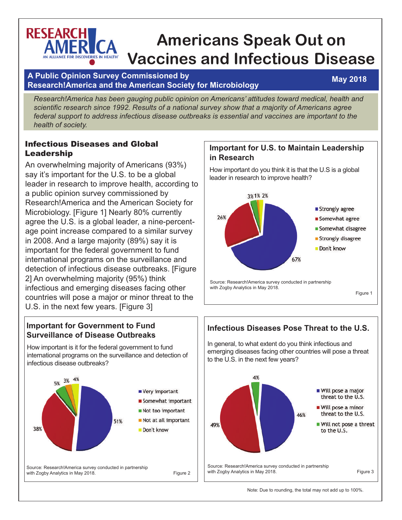# **RESEARCH Americans Speak Out on Vaccines and Infectious Disease**

### **A Public Opinion Survey Commissioned by Research!America and the American Society for Microbiology**

## **May 2018**

*Research!America has been gauging public opinion on Americans' attitudes toward medical, health and scientific research since 1992. Results of a national survey show that a majority of Americans agree federal support to address infectious disease outbreaks is essential and vaccines are important to the health of society.*

### Infectious Diseases and Global Leadership

An overwhelming majority of Americans (93%) say it's important for the U.S. to be a global leader in research to improve health, according to a public opinion survey commissioned by Research!America and the American Society for Microbiology. [Figure 1] Nearly 80% currently agree the U.S. is a global leader, a nine-percentage point increase compared to a similar survey in 2008. And a large majority (89%) say it is important for the federal government to fund international programs on the surveillance and detection of infectious disease outbreaks. [Figure 2] An overwhelming majority (95%) think infectious and emerging diseases facing other countries will pose a major or minor threat to the U.S. in the next few years. [Figure 3]

### **Important for Government to Fund Surveillance of Disease Outbreaks**

How important is it for the federal government to fund international programs on the surveillance and detection of infectious disease outbreaks?



### **Important for U.S. to Maintain Leadership in Research**

How important do you think it is that the U.S is a global leader in research to improve health?



## **Infectious Diseases Pose Threat to the U.S.** In general, to what extent do you think infectious and emerging diseases facing other countries will pose a threat to the U.S. in the next few years?4% ■ Will pose a major threat to the U.S. ■ Will pose a minor threat to the U.S. 46% Will not pose a threat 49% to the U.S. Source: Research!America survey conducted in partnership with Zogby Analytics in May 2018. The state of the Second Figure 3

Note: Due to rounding, the total may not add up to 100%.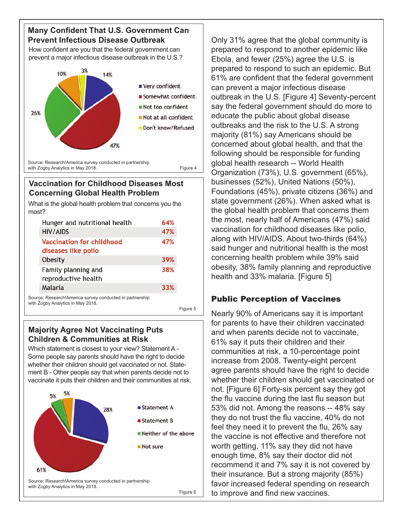### **Many Confident That U.S. Government Can Prevent Infectious Disease Outbreak**

How confident are you that the federal government can prevent a major infectious disease outbreak in the U.S.?



### **Vaccination for Childhood Diseases Most Concerning Global Health Problem**

What is the global health problem that concerns you the most?

|                                                        | Hunger and nutritional health              | 64% |
|--------------------------------------------------------|--------------------------------------------|-----|
|                                                        | <b>HIV/AIDS</b>                            | 47% |
|                                                        | <b>Vaccination for childhood</b>           | 47% |
|                                                        | diseases like polio                        |     |
|                                                        | Obesity                                    | 39% |
|                                                        | Family planning and<br>reproductive health | 38% |
|                                                        | Malaria                                    | 33% |
|                                                        |                                            |     |
| urco: PocoarchIAmorica survoy conductod in partnership |                                            |     |

nducted in partnershit with Zogby Analytics in May 2018.

Figure 5

### **Majority Agree Not Vaccinating Puts Children & Communities at Risk**

Which statement is closest to your view? Statement A - Some people say parents should have the right to decide whether their children should get vaccinated or not. Statement B - Other people say that when parents decide not to vaccinate it puts their children and their communities at risk.



Only 31% agree that the global community is prepared to respond to another epidemic like Ebola, and fewer (25%) agree the U.S. is prepared to respond to such an epidemic. But 61% are confident that the federal government can prevent a major infectious disease outbreak in the U.S. [Figure 4] Seventy-percent say the federal government should do more to educate the public about global disease outbreaks and the risk to the U.S. A strong majority (81%) say Americans should be concerned about global health, and that the following should be responsible for funding global health research -- World Health Organization (73%), U.S. government (65%), businesses (52%), United Nations (50%), Foundations (45%), private citizens (36%) and state government (26%). When asked what is the global health problem that concerns them the most, nearly half of Americans (47%) said vaccination for childhood diseases like polio, along with HIV/AIDS. About two-thirds (64%) said hunger and nutritional health is the most concerning health problem while 39% said obesity, 38% family planning and reproductive health and 33% malaria. [Figure 5]

# Public Perception of Vaccines

Nearly 90% of Americans say it is important for parents to have their children vaccinated and when parents decide not to vaccinate, 61% say it puts their children and their communities at risk, a 10-percentage point increase from 2008. Twenty-eight percent agree parents should have the right to decide whether their children should get vaccinated or not. [Figure 6] Forty-six percent say they got the flu vaccine during the last flu season but 53% did not. Among the reasons -- 48% say they do not trust the flu vaccine, 40% do not feel they need it to prevent the flu, 26% say the vaccine is not effective and therefore not worth getting, 11% say they did not have enough time, 8% say their doctor did not recommend it and 7% say it is not covered by their insurance. But a strong majority (85%) favor increased federal spending on research to improve and find new vaccines.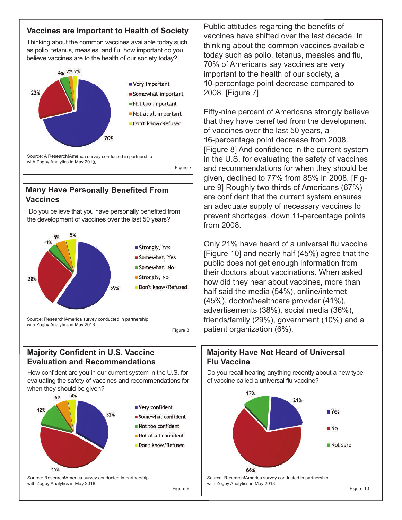#### **Vaccines are Important to Health of Society**

Thinking about the common vaccines available today such as polio, tetanus, measles, and flu, how important do you believe vaccines are to the health of our society today?



### **Many Have Personally Benefited From Vaccines**

Do you believe that you have personally benefited from the development of vaccines over the last 50 years?



Figure 8

### **Majority Confident in U.S. Vaccine Evaluation and Recommendations**

How confident are you in our current system in the U.S. for evaluating the safety of vaccines and recommendations for when they should be given?



Public attitudes regarding the benefits of vaccines have shifted over the last decade. In thinking about the common vaccines available today such as polio, tetanus, measles and flu, 70% of Americans say vaccines are very important to the health of our society, a 10-percentage point decrease compared to 2008. [Figure 7]

Fifty-nine percent of Americans strongly believe that they have benefited from the development of vaccines over the last 50 years, a 16-percentage point decrease from 2008. [Figure 8] And confidence in the current system in the U.S. for evaluating the safety of vaccines and recommendations for when they should be given, declined to 77% from 85% in 2008. [Figure 9] Roughly two-thirds of Americans (67%) are confident that the current system ensures an adequate supply of necessary vaccines to prevent shortages, down 11-percentage points from 2008.

Only 21% have heard of a universal flu vaccine [Figure 10] and nearly half (45%) agree that the public does not get enough information from their doctors about vaccinations. When asked how did they hear about vaccines, more than half said the media (54%), online/internet (45%), doctor/healthcare provider (41%), advertisements (38%), social media (36%), friends/family (29%), government (10%) and a patient organization (6%).



Do you recall hearing anything recently about a new type of vaccine called a universal flu vaccine?